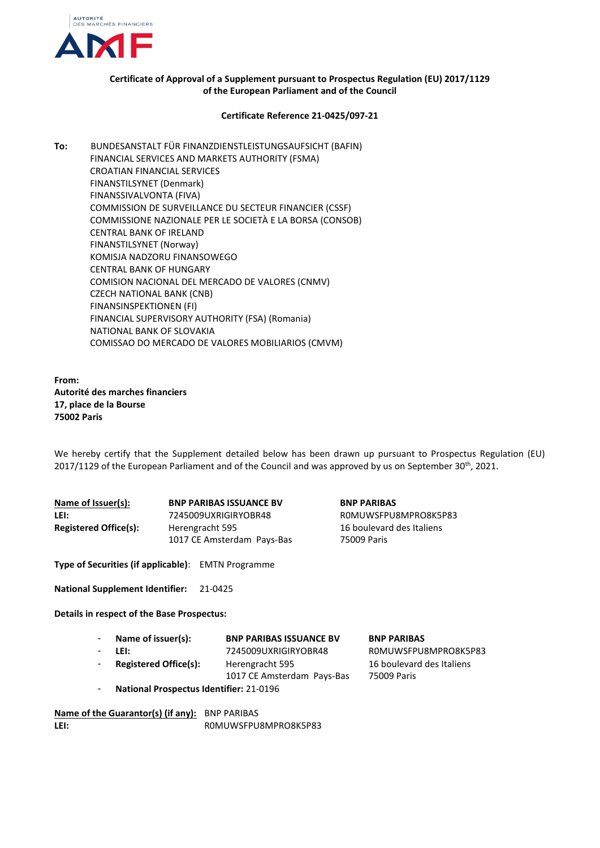

## **Certificate of Approval of a Supplement pursuant to Prospectus Regulation (EU) 2017/1129 of the European Parliament and of the Council**

## **Certificate Reference 21-0425/097-21**

**To:** BUNDESANSTALT FÜR FINANZDIENSTLEISTUNGSAUFSICHT (BAFIN) FINANCIAL SERVICES AND MARKETS AUTHORITY (FSMA) CROATIAN FINANCIAL SERVICES FINANSTILSYNET (Denmark) FINANSSIVALVONTA (FIVA) COMMISSION DE SURVEILLANCE DU SECTEUR FINANCIER (CSSF) COMMISSIONE NAZIONALE PER LE SOCIETÀ E LA BORSA (CONSOB) CENTRAL BANK OF IRELAND FINANSTILSYNET (Norway) KOMISJA NADZORU FINANSOWEGO CENTRAL BANK OF HUNGARY COMISION NACIONAL DEL MERCADO DE VALORES (CNMV) CZECH NATIONAL BANK (CNB) FINANSINSPEKTIONEN (FI) FINANCIAL SUPERVISORY AUTHORITY (FSA) (Romania) NATIONAL BANK OF SLOVAKIA COMISSAO DO MERCADO DE VALORES MOBILIARIOS (CMVM)

**From: Autorité des marches financiers 17, place de la Bourse 75002 Paris**

We hereby certify that the Supplement detailed below has been drawn up pursuant to Prospectus Regulation (EU) 2017/1129 of the European Parliament and of the Council and was approved by us on September  $30^{th}$ , 2021.

| Name of Issuer(s):           | <b>BNP PARIBAS ISSUANCE BV</b> |  |
|------------------------------|--------------------------------|--|
| LEI:                         | 7245009UXRIGIRYOBR48           |  |
| <b>Registered Office(s):</b> | Herengracht 595                |  |
|                              | 1017 CE Amsterdam Pays-Bas     |  |

 $BNP$  PARIBAS **LEI:** 7245009UXRIGIRYOBR48 R0MUWSFPU8MPRO8K5P83 16 boulevard des Italiens 75009 Paris

**Type of Securities (if applicable)**: EMTN Programme

**National Supplement Identifier:** 21-0425

**Details in respect of the Base Prospectus:**

| Name of issuer(s):                             | <b>BNP PARIBAS ISSUANCE BV</b> | <b>BNP PARIBAS</b>        |
|------------------------------------------------|--------------------------------|---------------------------|
| LEI:                                           | 7245009UXRIGIRYOBR48           | ROMUWSFPU8MPRO8K5P83      |
| <b>Registered Office(s):</b>                   | Herengracht 595                | 16 boulevard des Italiens |
|                                                | 1017 CE Amsterdam Pays-Bas     | 75009 Paris               |
| <b>National Prospectus Identifier: 21-0196</b> |                                |                           |

**Name of the Guarantor(s) (if any):** BNP PARIBAS LEI: ROMUWSFPU8MPRO8K5P83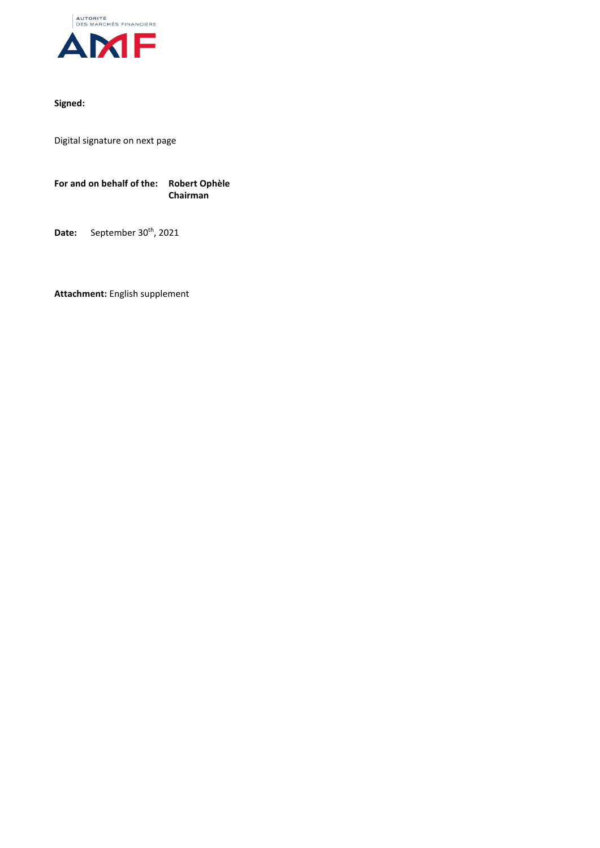

## **Signed:**

Digital signature on next page

**For and on behalf of the: Robert Ophèle Chairman**

Date: September 30<sup>th</sup>, 2021

**Attachment:** English supplement